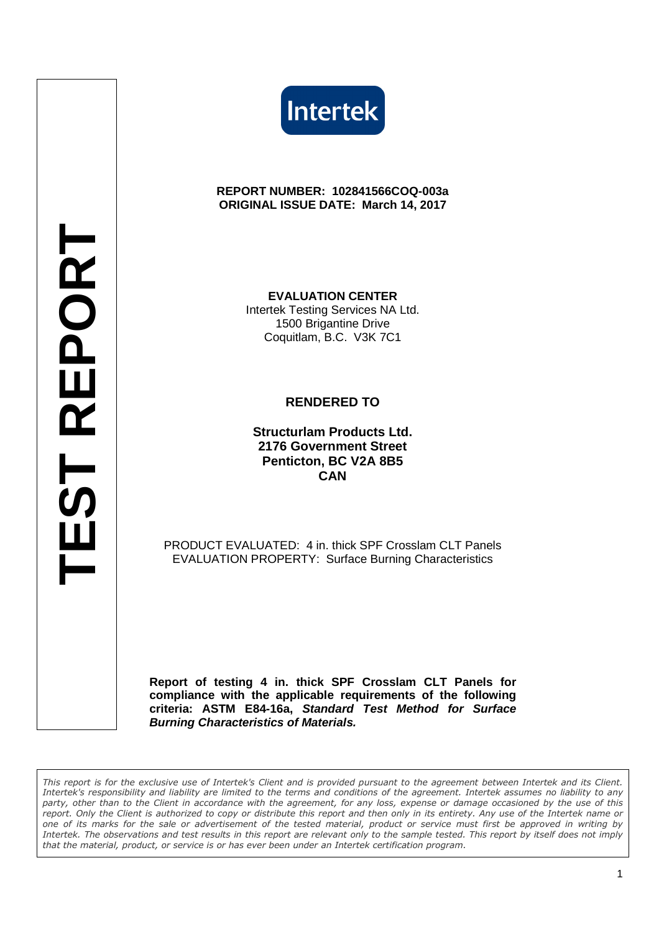



#### **REPORT NUMBER: 102841566COQ-003a ORIGINAL ISSUE DATE: March 14, 2017**

**EVALUATION CENTER** Intertek Testing Services NA Ltd. 1500 Brigantine Drive Coquitlam, B.C. V3K 7C1

#### **RENDERED TO**

**Structurlam Products Ltd. 2176 Government Street Penticton, BC V2A 8B5 CAN**

PRODUCT EVALUATED: 4 in. thick SPF Crosslam CLT Panels EVALUATION PROPERTY: Surface Burning Characteristics

**Report of testing 4 in. thick SPF Crosslam CLT Panels for compliance with the applicable requirements of the following criteria: ASTM E84-16a, Standard Test Method for Surface Burning Characteristics of Materials.**

*This report is for the exclusive use of Intertek's Client and is provided pursuant to the agreement between Intertek and its Client. Intertek's responsibility and liability are limited to the terms and conditions of the agreement. Intertek assumes no liability to any party, other than to the Client in accordance with the agreement, for any loss, expense or damage occasioned by the use of this report. Only the Client is authorized to copy or distribute this report and then only in its entirety. Any use of the Intertek name or one of its marks for the sale or advertisement of the tested material, product or service must first be approved in writing by Intertek. The observations and test results in this report are relevant only to the sample tested. This report by itself does not imply that the material, product, or service is or has ever been under an Intertek certification program.*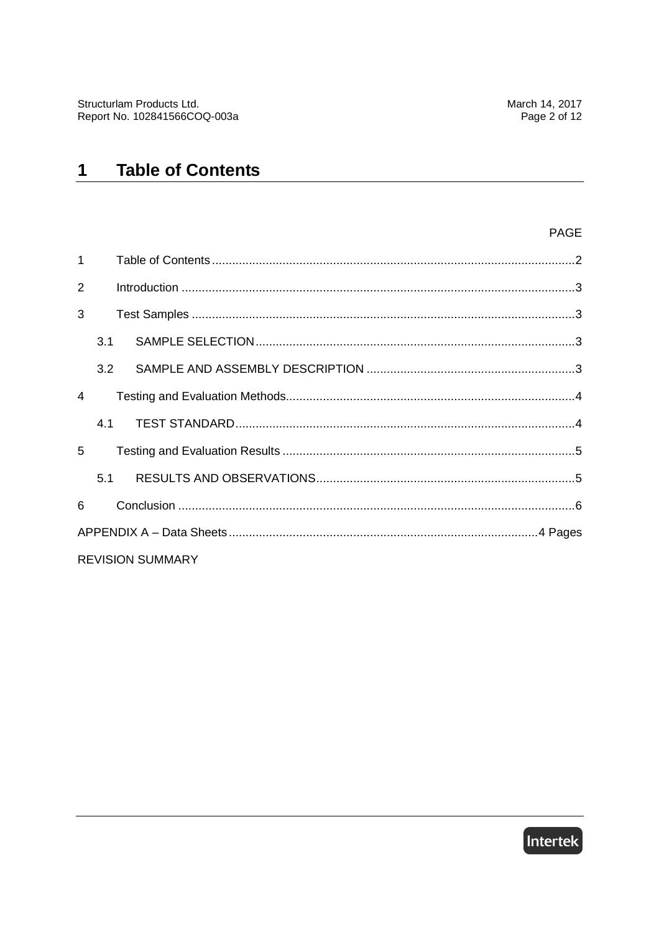#### **Table of Contents**  $\mathbf 1$

#### PAGE

| $\mathbf{1}$   |     |                         |  |
|----------------|-----|-------------------------|--|
| $\overline{2}$ |     |                         |  |
| 3              |     |                         |  |
|                | 3.1 |                         |  |
|                | 3.2 |                         |  |
| $\overline{4}$ |     |                         |  |
|                | 4.1 |                         |  |
| 5              |     |                         |  |
|                | 5.1 |                         |  |
| 6              |     |                         |  |
|                |     |                         |  |
|                |     | <b>REVISION SUMMARY</b> |  |

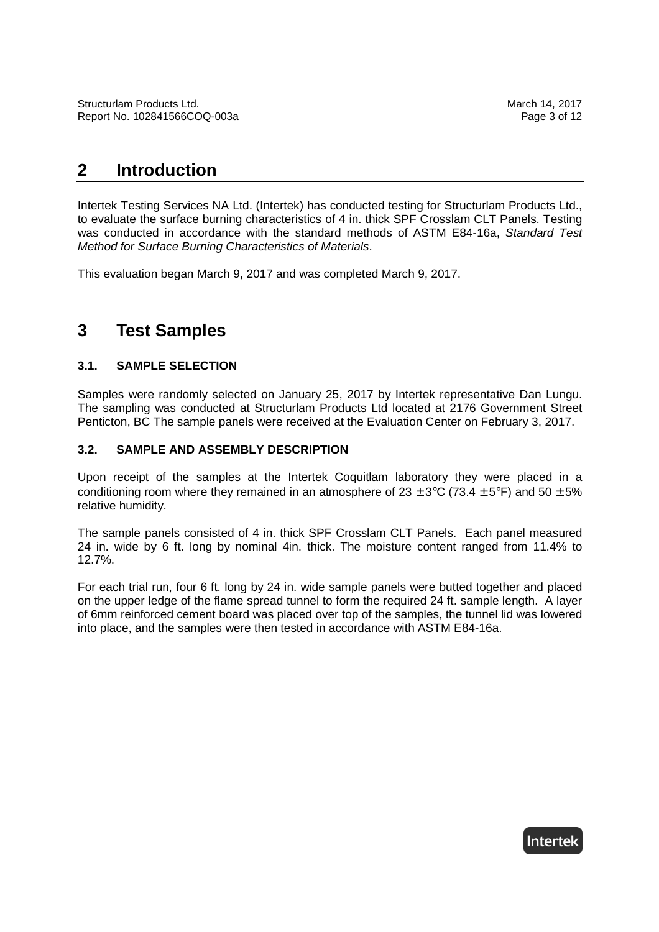### **2 Introduction**

Intertek Testing Services NA Ltd. (Intertek) has conducted testing for Structurlam Products Ltd., to evaluate the surface burning characteristics of 4 in. thick SPF Crosslam CLT Panels. Testing was conducted in accordance with the standard methods of ASTM E84-16a, Standard Test Method for Surface Burning Characteristics of Materials.

This evaluation began March 9, 2017 and was completed March 9, 2017.

### **3 Test Samples**

#### **3.1. SAMPLE SELECTION**

Samples were randomly selected on January 25, 2017 by Intertek representative Dan Lungu. The sampling was conducted at Structurlam Products Ltd located at 2176 Government Street Penticton, BC The sample panels were received at the Evaluation Center on February 3, 2017.

#### **3.2. SAMPLE AND ASSEMBLY DESCRIPTION**

Upon receipt of the samples at the Intertek Coquitlam laboratory they were placed in a conditioning room where they remained in an atmosphere of  $23 \pm 3$ °C (73.4  $\pm 5$ °F) and 50  $\pm 5$ % relative humidity.

The sample panels consisted of 4 in. thick SPF Crosslam CLT Panels. Each panel measured 24 in. wide by 6 ft. long by nominal 4in. thick. The moisture content ranged from 11.4% to 12.7%.

For each trial run, four 6 ft. long by 24 in. wide sample panels were butted together and placed on the upper ledge of the flame spread tunnel to form the required 24 ft. sample length. A layer of 6mm reinforced cement board was placed over top of the samples, the tunnel lid was lowered into place, and the samples were then tested in accordance with ASTM E84-16a.

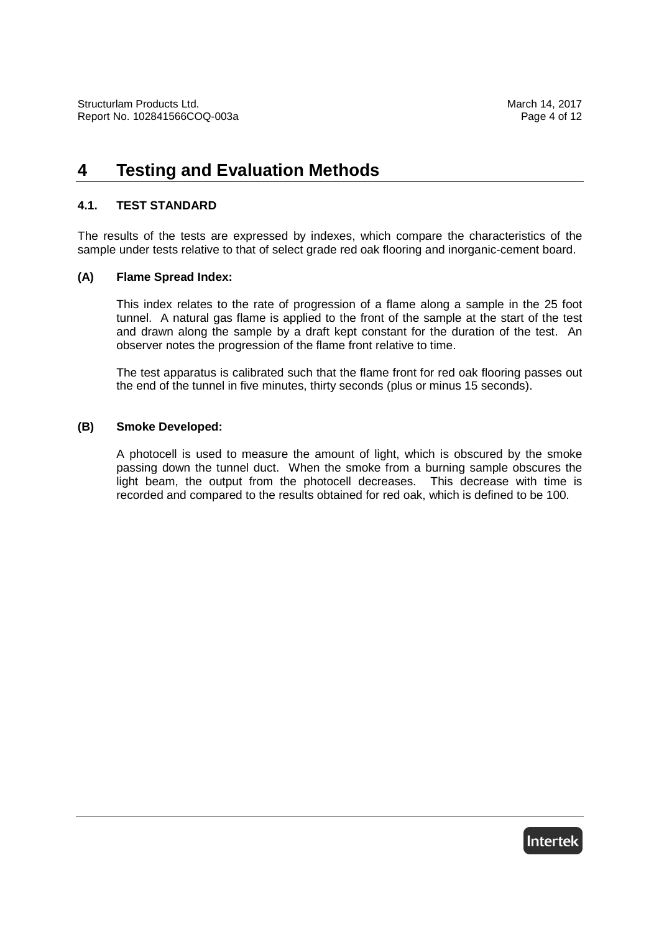### **4 Testing and Evaluation Methods**

#### **4.1. TEST STANDARD**

The results of the tests are expressed by indexes, which compare the characteristics of the sample under tests relative to that of select grade red oak flooring and inorganic-cement board.

#### **(A) Flame Spread Index:**

This index relates to the rate of progression of a flame along a sample in the 25 foot tunnel. A natural gas flame is applied to the front of the sample at the start of the test and drawn along the sample by a draft kept constant for the duration of the test. An observer notes the progression of the flame front relative to time.

The test apparatus is calibrated such that the flame front for red oak flooring passes out the end of the tunnel in five minutes, thirty seconds (plus or minus 15 seconds).

#### **(B) Smoke Developed:**

A photocell is used to measure the amount of light, which is obscured by the smoke passing down the tunnel duct. When the smoke from a burning sample obscures the light beam, the output from the photocell decreases. This decrease with time is recorded and compared to the results obtained for red oak, which is defined to be 100.

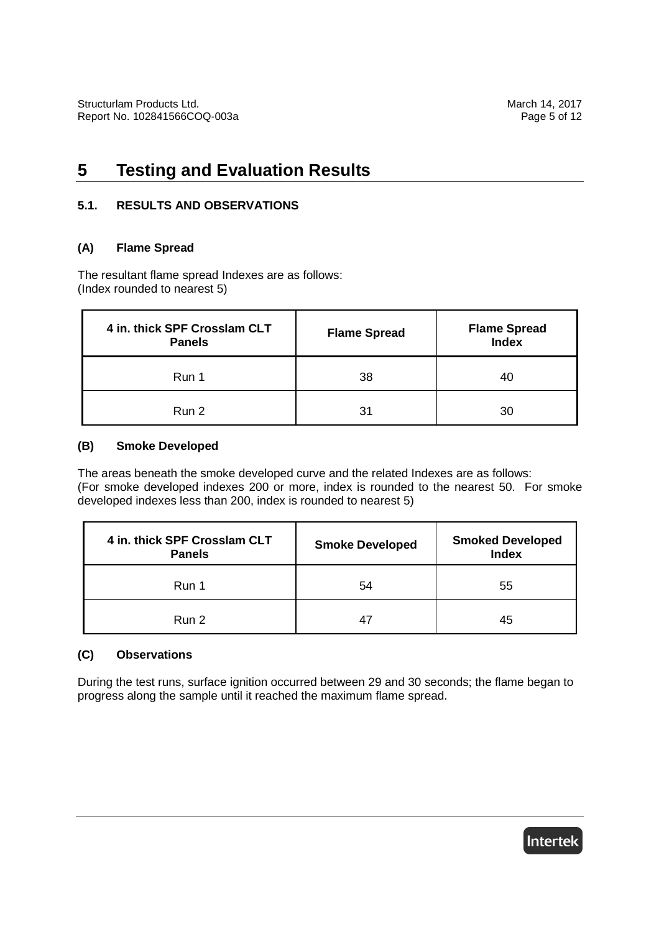## **5 Testing and Evaluation Results**

#### **5.1. RESULTS AND OBSERVATIONS**

#### **(A) Flame Spread**

The resultant flame spread Indexes are as follows: (Index rounded to nearest 5)

| 4 in. thick SPF Crosslam CLT<br><b>Panels</b> | <b>Flame Spread</b> | <b>Flame Spread</b><br><b>Index</b> |
|-----------------------------------------------|---------------------|-------------------------------------|
| Run 1                                         | 38                  | 40                                  |
| Run 2                                         | 31                  | 30                                  |

#### **(B) Smoke Developed**

The areas beneath the smoke developed curve and the related Indexes are as follows: (For smoke developed indexes 200 or more, index is rounded to the nearest 50. For smoke developed indexes less than 200, index is rounded to nearest 5)

| 4 in. thick SPF Crosslam CLT<br><b>Panels</b> | <b>Smoke Developed</b> | <b>Smoked Developed</b><br><b>Index</b> |
|-----------------------------------------------|------------------------|-----------------------------------------|
| Run 1                                         | 54                     | 55                                      |
| Run 2                                         | 47                     | 45                                      |

#### **(C) Observations**

During the test runs, surface ignition occurred between 29 and 30 seconds; the flame began to progress along the sample until it reached the maximum flame spread.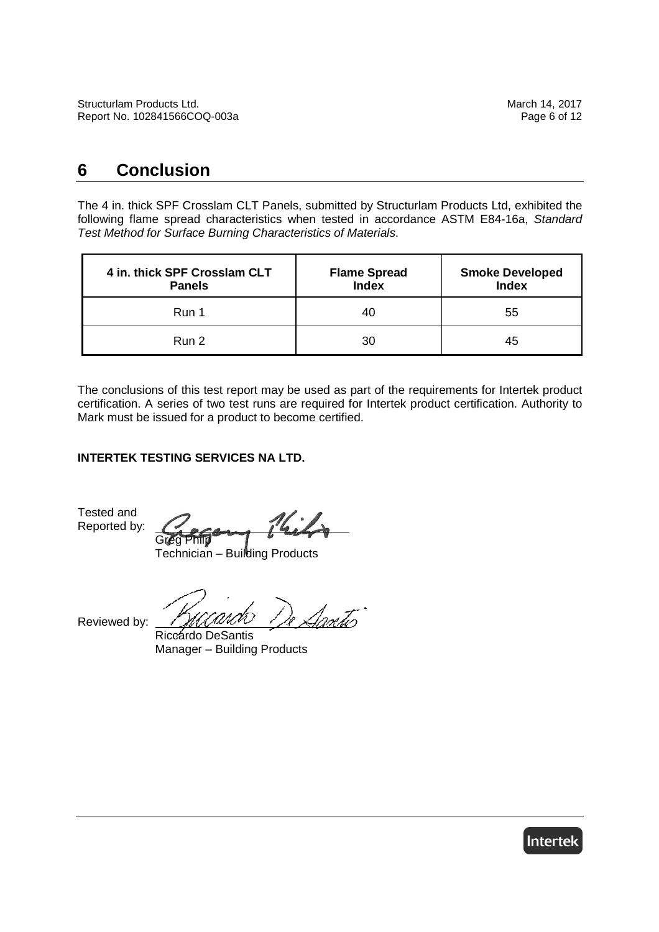### **6 Conclusion**

The 4 in. thick SPF Crosslam CLT Panels, submitted by Structurlam Products Ltd, exhibited the following flame spread characteristics when tested in accordance ASTM E84-16a, Standard Test Method for Surface Burning Characteristics of Materials.

| 4 in. thick SPF Crosslam CLT<br><b>Panels</b> | <b>Flame Spread</b><br><b>Index</b> | <b>Smoke Developed</b><br><b>Index</b> |
|-----------------------------------------------|-------------------------------------|----------------------------------------|
| Run 1                                         | 40                                  | 55                                     |
| Run 2                                         | 30                                  | 45                                     |

The conclusions of this test report may be used as part of the requirements for Intertek product certification. A series of two test runs are required for Intertek product certification. Authority to Mark must be issued for a product to become certified.

#### **INTERTEK TESTING SERVICES NA LTD.**

Tested and Reported by:

Greg Philp

Technician – Building Products

Reviewed by:

Santis

Riccardo DeSantis Manager – Building Products

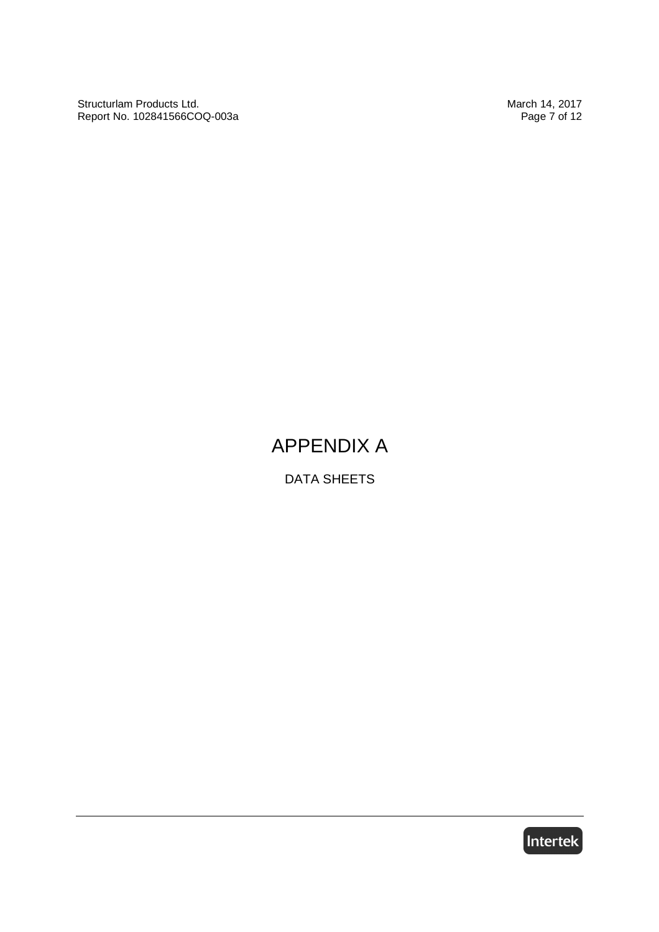Structurlam Products Ltd. March 14, 2017 Report No. 102841566COQ-003a

# APPENDIX A

DATA SHEETS

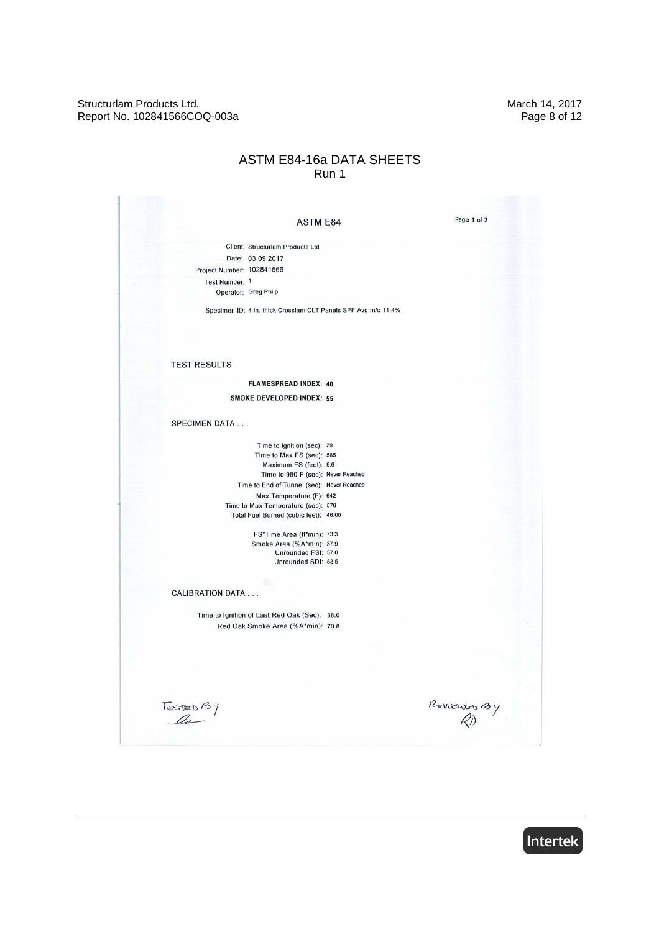Structurlam Products Ltd. March 14, 2017 Report No. 102841566COQ-003a

#### ASTM E84-16a DATA SHEETS Run 1

|                                              | <b>ASTM E84</b>                                                | Page 1 of 2      |
|----------------------------------------------|----------------------------------------------------------------|------------------|
|                                              | Client: Structurlam Products Ltd                               |                  |
| Date: 03 09 2017                             |                                                                |                  |
| Project Number: 102841566                    |                                                                |                  |
| Test Number: 1                               |                                                                |                  |
| Operator: Greg Philp                         |                                                                |                  |
|                                              |                                                                |                  |
|                                              | Specimen ID: 4 in. thick Crosslam CLT Panels SPF Avg m/c 11.4% |                  |
|                                              |                                                                |                  |
|                                              |                                                                |                  |
|                                              |                                                                |                  |
| <b>TEST RESULTS</b>                          |                                                                |                  |
|                                              |                                                                |                  |
|                                              | <b>FLAMESPREAD INDEX: 40</b>                                   |                  |
|                                              | <b>SMOKE DEVELOPED INDEX: 55</b>                               |                  |
|                                              |                                                                |                  |
| <b>SPECIMEN DATA</b>                         |                                                                |                  |
|                                              |                                                                |                  |
|                                              | Time to Ignition (sec): 29                                     |                  |
|                                              | Time to Max FS (sec): 585                                      |                  |
|                                              | Maximum FS (feet): 9.6                                         |                  |
|                                              | Time to 980 F (sec): Never Reached                             |                  |
|                                              | Time to End of Tunnel (sec): Never Reached                     |                  |
|                                              | Max Temperature (F): 642<br>Time to Max Temperature (sec): 576 |                  |
|                                              | Total Fuel Burned (cubic feet): 46.00                          |                  |
|                                              |                                                                |                  |
|                                              | FS*Time Area (ft*min): 73.3                                    |                  |
|                                              | Smoke Area (%A*min): 37.9                                      |                  |
|                                              | Unrounded FSI: 37.8<br>Unrounded SDI: 53.5                     |                  |
|                                              |                                                                |                  |
|                                              |                                                                |                  |
| <b>CALIBRATION DATA</b>                      |                                                                |                  |
|                                              |                                                                |                  |
| Time to Ignition of Last Red Oak (Sec): 38.0 |                                                                |                  |
|                                              | Red Oak Smoke Area (%A*min): 70.8                              |                  |
|                                              |                                                                |                  |
|                                              |                                                                |                  |
|                                              |                                                                |                  |
|                                              |                                                                |                  |
|                                              |                                                                |                  |
|                                              |                                                                |                  |
| Testeb <sup>B</sup> Y                        |                                                                | $\frac{12}{100}$ |
|                                              |                                                                |                  |

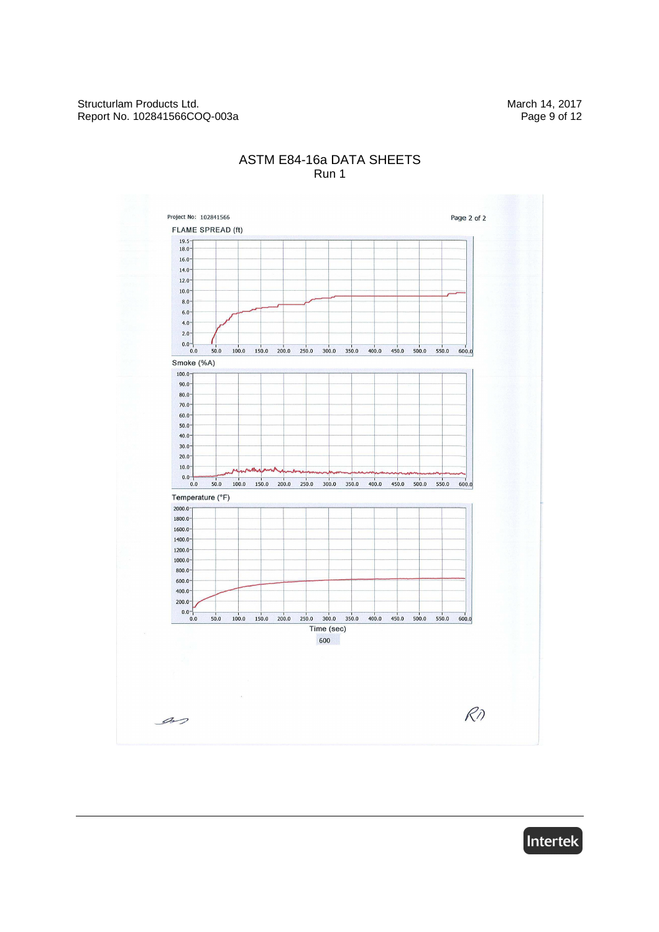

#### ASTM E84-16a DATA SHEETS Run 1

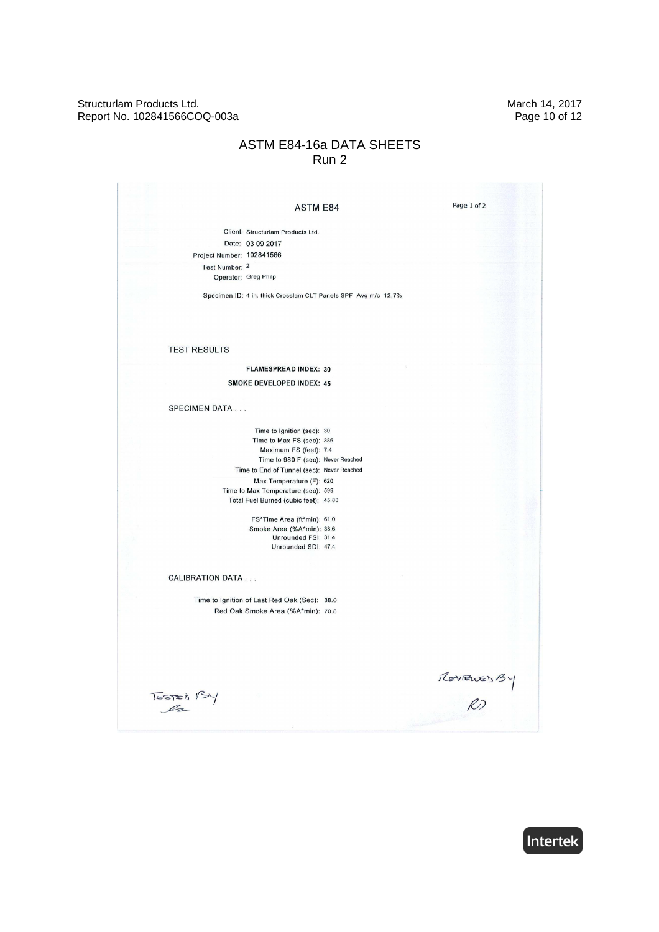#### Structurlam Products Ltd. March 14, 2017 Report No. 102841566COQ-003a

### ASTM E84-16a DATA SHEETS Run 2

| <b>ASTM E84</b>                                                             | Page 1 of 2 |
|-----------------------------------------------------------------------------|-------------|
|                                                                             |             |
| Client: Structurlam Products Ltd.                                           |             |
| Date: 03 09 2017                                                            |             |
| Project Number: 102841566                                                   |             |
| Test Number: 2                                                              |             |
| Operator: Greg Philp                                                        |             |
| Specimen ID: 4 in. thick Crosslam CLT Panels SPF Avg m/c 12.7%              |             |
|                                                                             |             |
|                                                                             |             |
|                                                                             |             |
|                                                                             |             |
| <b>TEST RESULTS</b>                                                         |             |
| <b>FLAMESPREAD INDEX: 30</b>                                                |             |
| <b>SMOKE DEVELOPED INDEX: 45</b>                                            |             |
|                                                                             |             |
| <b>SPECIMEN DATA</b>                                                        |             |
|                                                                             |             |
| Time to Ignition (sec): 30                                                  |             |
| Time to Max FS (sec): 386                                                   |             |
| Maximum FS (feet): 7.4                                                      |             |
| Time to 980 F (sec): Never Reached                                          |             |
| Time to End of Tunnel (sec): Never Reached                                  |             |
| Max Temperature (F): 620                                                    |             |
| Time to Max Temperature (sec): 599<br>Total Fuel Burned (cubic feet): 45.80 |             |
|                                                                             |             |
| FS*Time Area (ft*min): 61.0                                                 |             |
| Smoke Area (%A*min): 33.6                                                   |             |
| Unrounded FSI: 31.4                                                         |             |
| Unrounded SDI: 47.4                                                         |             |
|                                                                             |             |
|                                                                             |             |
| <b>CALIBRATION DATA</b>                                                     |             |
|                                                                             |             |
| Time to Ignition of Last Red Oak (Sec): 38.0                                |             |
| Red Oak Smoke Area (%A*min): 70.8                                           |             |
|                                                                             |             |
|                                                                             |             |
|                                                                             |             |
|                                                                             |             |
|                                                                             |             |
|                                                                             | REVIEWED BY |
| $Tessze)$ $134$                                                             |             |
|                                                                             |             |
|                                                                             |             |

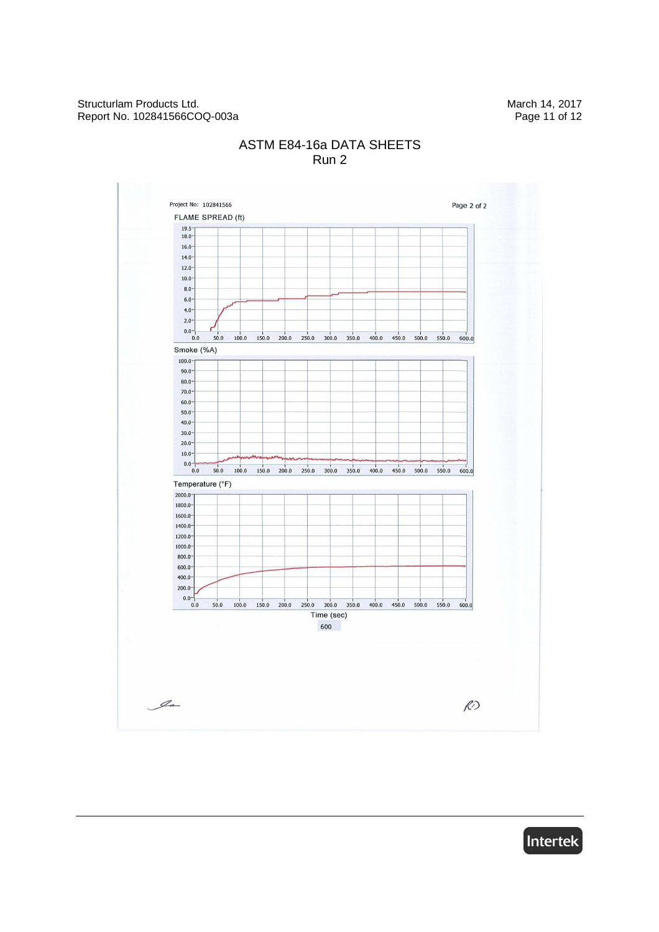

### ASTM E84-16a DATA SHEETS Run 2

Intertek